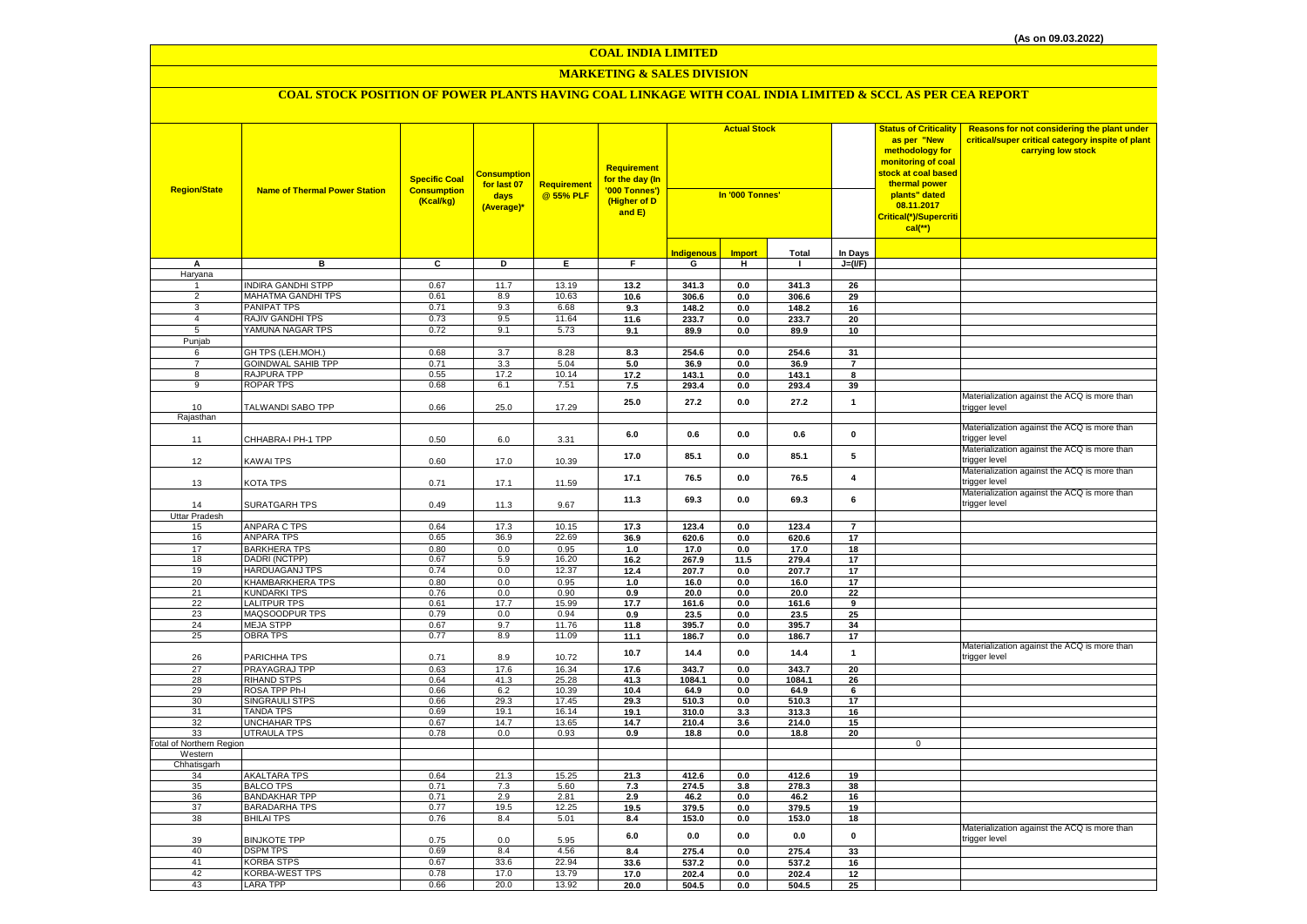## **MARKETING & SALES DIVISION**

| <b>Region/State</b>     | <b>Name of Thermal Power Station</b>    | <b>Specific Coal</b><br><b>Consumption</b><br>(Kcal/kg) | Consumption<br>for last 07<br>days<br>(Average)* | <b>Requirement</b><br>@ 55% PLF | Requirement<br>for the day (In<br>'000 Tonnes')<br>(Higher of D<br>and E) | <b>Actual Stock</b><br>In '000 Tonnes' |               |                | <b>Status of Criticality</b><br>as per "New<br>methodology for<br>monitoring of coal<br>stock at coal based<br>thermal power<br>plants" dated<br>08.11.2017<br>Critical(*)/Supercriti<br>$cal$ (**) | Reasons for not considering the plant under<br>critical/super critical category inspite of plant<br>carrying low stock |                                                               |
|-------------------------|-----------------------------------------|---------------------------------------------------------|--------------------------------------------------|---------------------------------|---------------------------------------------------------------------------|----------------------------------------|---------------|----------------|-----------------------------------------------------------------------------------------------------------------------------------------------------------------------------------------------------|------------------------------------------------------------------------------------------------------------------------|---------------------------------------------------------------|
|                         |                                         |                                                         |                                                  |                                 |                                                                           | <u>Indigenous</u>                      | <b>Import</b> | <b>Total</b>   | In Days                                                                                                                                                                                             |                                                                                                                        |                                                               |
| Α                       | в                                       | c                                                       | D                                                | Е                               | F                                                                         | G                                      | н             | $\mathbf{I}$   | $J=(VF)$                                                                                                                                                                                            |                                                                                                                        |                                                               |
| Haryana                 |                                         |                                                         |                                                  |                                 |                                                                           |                                        |               |                |                                                                                                                                                                                                     |                                                                                                                        |                                                               |
|                         | <b>INDIRA GANDHI STPP</b>               | 0.67                                                    | 11.7                                             | 13.19                           | 13.2                                                                      | 341.3                                  | 0.0           | 341.3          | 26                                                                                                                                                                                                  |                                                                                                                        |                                                               |
| $\overline{2}$          | <b>MAHATMA GANDHI TPS</b>               | 0.61                                                    | 8.9                                              | 10.63                           | 10.6                                                                      | 306.6                                  | 0.0           | 306.6          | 29                                                                                                                                                                                                  |                                                                                                                        |                                                               |
| 3                       | <b>PANIPAT TPS</b>                      | 0.71                                                    | 9.3                                              | 6.68                            | 9.3                                                                       | 148.2                                  | 0.0           | 148.2          | 16                                                                                                                                                                                                  |                                                                                                                        |                                                               |
| $\overline{4}$          | RAJIV GANDHI TPS                        | 0.73                                                    | 9.5                                              | 11.64                           | 11.6                                                                      | 233.7                                  | 0.0           | 233.7          | 20                                                                                                                                                                                                  |                                                                                                                        |                                                               |
| 5                       | YAMUNA NAGAR TPS                        | 0.72                                                    | 9.1                                              | 5.73                            | 9.1                                                                       | 89.9                                   | 0.0           | 89.9           | 10                                                                                                                                                                                                  |                                                                                                                        |                                                               |
| Punjab                  |                                         |                                                         |                                                  |                                 |                                                                           |                                        |               |                |                                                                                                                                                                                                     |                                                                                                                        |                                                               |
| 6                       | GH TPS (LEH.MOH.)                       | 0.68                                                    | 3.7                                              | 8.28                            | 8.3                                                                       | 254.6                                  | 0.0           | 254.6          | 31                                                                                                                                                                                                  |                                                                                                                        |                                                               |
| $\overline{7}$          | <b>GOINDWAL SAHIB TPP</b>               | 0.71                                                    | 3.3                                              | 5.04                            | 5.0                                                                       | 36.9                                   | 0.0           | 36.9           | $\overline{z}$                                                                                                                                                                                      |                                                                                                                        |                                                               |
| 8                       | <b>RAJPURA TPP</b>                      | 0.55                                                    | 17.2                                             | 10.14                           | 17.2                                                                      | 143.1                                  | $0.0\,$       | 143.1          | 8                                                                                                                                                                                                   |                                                                                                                        |                                                               |
| 9                       | <b>ROPAR TPS</b>                        | 0.68                                                    | 6.1                                              | 7.51                            | 7.5                                                                       | 293.4                                  | $0.0\,$       | 293.4          | 39                                                                                                                                                                                                  |                                                                                                                        |                                                               |
| 10                      | TALWANDI SABO TPP                       | 0.66                                                    | 25.0                                             | 17.29                           | 25.0                                                                      | 27.2                                   | 0.0           | 27.2           | $\mathbf{1}$                                                                                                                                                                                        |                                                                                                                        | Materialization against the ACQ is more than<br>trigger level |
| Rajasthan               |                                         |                                                         |                                                  |                                 |                                                                           |                                        |               |                |                                                                                                                                                                                                     |                                                                                                                        |                                                               |
| 11                      | CHHABRA-I PH-1 TPP                      | 0.50                                                    | 6.0                                              | 3.31                            | 6.0                                                                       | 0.6                                    | 0.0           | 0.6            | $\pmb{0}$                                                                                                                                                                                           |                                                                                                                        | Materialization against the ACQ is more than<br>rigger level  |
| 12                      | <b>KAWAI TPS</b>                        | 0.60                                                    | 17.0                                             | 10.39                           | 17.0                                                                      | 85.1                                   | 0.0           | 85.1           | 5                                                                                                                                                                                                   |                                                                                                                        | Materialization against the ACQ is more than<br>trigger level |
| 13                      | KOTA TPS                                | 0.71                                                    | 17.1                                             | 11.59                           | 17.1                                                                      | 76.5                                   | 0.0           | 76.5           | $\overline{\mathbf{4}}$                                                                                                                                                                             |                                                                                                                        | Materialization against the ACQ is more than<br>trigger level |
| 14                      | <b>SURATGARH TPS</b>                    | 0.49                                                    | 11.3                                             | 9.67                            | 11.3                                                                      | 69.3                                   | 0.0           | 69.3           | 6                                                                                                                                                                                                   |                                                                                                                        | Materialization against the ACQ is more than<br>trigger level |
| Uttar Pradesh           |                                         |                                                         |                                                  |                                 |                                                                           |                                        |               |                |                                                                                                                                                                                                     |                                                                                                                        |                                                               |
| 15                      | <b>ANPARA C TPS</b>                     | 0.64                                                    | 17.3                                             | 10.15                           | 17.3                                                                      | 123.4                                  | 0.0           | 123.4          | $\overline{7}$                                                                                                                                                                                      |                                                                                                                        |                                                               |
| 16                      | <b>ANPARA TPS</b>                       | 0.65                                                    | 36.9                                             | 22.69                           | 36.9                                                                      | 620.6                                  | 0.0           | 620.6          | 17                                                                                                                                                                                                  |                                                                                                                        |                                                               |
| 17                      | <b>BARKHERA TPS</b>                     | 0.80                                                    | 0.0                                              | 0.95                            | $1.0\,$                                                                   | 17.0                                   | 0.0           | 17.0           | 18                                                                                                                                                                                                  |                                                                                                                        |                                                               |
| 18                      | DADRI (NCTPP)                           | 0.67                                                    | 5.9                                              | 16.20                           | 16.2                                                                      | 267.9                                  | 11.5          | 279.4          | 17                                                                                                                                                                                                  |                                                                                                                        |                                                               |
| 19                      | <b>HARDUAGANJ TPS</b>                   | 0.74                                                    | 0.0                                              | 12.37                           | 12.4                                                                      | 207.7                                  | 0.0           | 207.7          | 17                                                                                                                                                                                                  |                                                                                                                        |                                                               |
| 20                      | KHAMBARKHERA TPS                        | 0.80                                                    | 0.0                                              | 0.95                            | 1.0                                                                       | 16.0                                   | 0.0           | 16.0           | 17                                                                                                                                                                                                  |                                                                                                                        |                                                               |
| 21                      | <b>KUNDARKI TPS</b>                     | 0.76                                                    | 0.0                                              | 0.90                            | 0.9                                                                       | 20.0                                   | 0.0           | 20.0           | 22                                                                                                                                                                                                  |                                                                                                                        |                                                               |
| 22                      | <b>LALITPUR TPS</b>                     | 0.61                                                    | 17.7                                             | 15.99                           | 17.7                                                                      | 161.6                                  | 0.0           | 161.6          | 9                                                                                                                                                                                                   |                                                                                                                        |                                                               |
| 23                      | MAQSOODPUR TPS                          | 0.79                                                    | 0.0                                              | 0.94                            | 0.9                                                                       | 23.5                                   | 0.0           | 23.5           | 25                                                                                                                                                                                                  |                                                                                                                        |                                                               |
| 24                      | <b>MEJA STPP</b>                        | 0.67                                                    | 9.7                                              | 11.76                           | 11.8                                                                      | 395.7                                  | 0.0           | 395.7          | 34                                                                                                                                                                                                  |                                                                                                                        |                                                               |
| 25                      | <b>OBRA TPS</b>                         | 0.77                                                    | 8.9                                              | 11.09                           | 11.1                                                                      | 186.7                                  | 0.0           | 186.7          | 17                                                                                                                                                                                                  |                                                                                                                        | Materialization against the ACQ is more than                  |
| 26                      | PARICHHA TPS                            | 0.71                                                    | 8.9                                              | 10.72                           | 10.7                                                                      | 14.4                                   | 0.0           | 14.4           | $\mathbf{1}$                                                                                                                                                                                        |                                                                                                                        | trigger level                                                 |
| 27                      | PRAYAGRAJ TPP                           | 0.63                                                    | 17.6                                             | 16.34                           | 17.6                                                                      | 343.7                                  | 0.0           | 343.7          | 20                                                                                                                                                                                                  |                                                                                                                        |                                                               |
| 28                      | <b>RIHAND STPS</b>                      | 0.64                                                    | 41.3                                             | 25.28                           | 41.3                                                                      | 1084.1                                 | 0.0           | 1084.1         | 26                                                                                                                                                                                                  |                                                                                                                        |                                                               |
| 29                      | ROSA TPP Ph-I                           | 0.66                                                    | 6.2                                              | 10.39                           | 10.4                                                                      | 64.9                                   | 0.0           | 64.9           | 6                                                                                                                                                                                                   |                                                                                                                        |                                                               |
| 30                      | <b>SINGRAULI STPS</b>                   | 0.66                                                    | 29.3                                             | 17.45                           | 29.3                                                                      | 510.3                                  | 0.0           | 510.3          | 17                                                                                                                                                                                                  |                                                                                                                        |                                                               |
| 31                      | <b>TANDA TPS</b>                        | 0.69                                                    | 19.1                                             | 16.14                           | 19.1                                                                      | 310.0                                  | 3.3           | 313.3          | 16                                                                                                                                                                                                  |                                                                                                                        |                                                               |
| 32                      | <b>UNCHAHAR TPS</b>                     | 0.67                                                    | 14.7                                             | 13.65                           | 14.7                                                                      | 210.4                                  | 3.6           | 214.0          | 15                                                                                                                                                                                                  |                                                                                                                        |                                                               |
| 33                      | <b>UTRAULA TPS</b>                      | 0.78                                                    | 0.0                                              | 0.93                            | 0.9                                                                       | 18.8                                   | 0.0           | 18.8           | 20                                                                                                                                                                                                  |                                                                                                                        |                                                               |
| otal of Northern Region |                                         |                                                         |                                                  |                                 |                                                                           |                                        |               |                |                                                                                                                                                                                                     | $\mathbf 0$                                                                                                            |                                                               |
| Western                 |                                         |                                                         |                                                  |                                 |                                                                           |                                        |               |                |                                                                                                                                                                                                     |                                                                                                                        |                                                               |
| Chhatisgarh             |                                         |                                                         |                                                  |                                 |                                                                           |                                        |               |                |                                                                                                                                                                                                     |                                                                                                                        |                                                               |
| 34<br>35                | <b>AKALTARA TPS</b><br><b>BALCO TPS</b> | 0.64<br>0.71                                            | 21.3<br>7.3                                      | 15.25<br>5.60                   | 21.3                                                                      | 412.6<br>274.5                         | 0.0<br>3.8    | 412.6<br>278.3 | 19<br>38                                                                                                                                                                                            |                                                                                                                        |                                                               |
| 36                      | <b>BANDAKHAR TPP</b>                    | 0.71                                                    | 2.9                                              | 2.81                            | 7.3<br>2.9                                                                | 46.2                                   | 0.0           | 46.2           | 16                                                                                                                                                                                                  |                                                                                                                        |                                                               |
| 37                      | <b>BARADARHA TPS</b>                    | 0.77                                                    | 19.5                                             | 12.25                           | 19.5                                                                      | 379.5                                  | 0.0           | 379.5          | 19                                                                                                                                                                                                  |                                                                                                                        |                                                               |
| 38                      | <b>BHILAI TPS</b>                       | 0.76                                                    | 8.4                                              | 5.01                            | 8.4                                                                       | 153.0                                  | 0.0           | 153.0          | 18                                                                                                                                                                                                  |                                                                                                                        |                                                               |
| 39                      | <b>BINJKOTE TPP</b>                     | 0.75                                                    | 0.0                                              | 5.95                            | 6.0                                                                       | 0.0                                    | 0.0           | 0.0            | $\pmb{0}$                                                                                                                                                                                           |                                                                                                                        | Materialization against the ACQ is more than<br>trigger level |
| 40                      | <b>DSPM TPS</b>                         | 0.69                                                    | 8.4                                              | 4.56                            | 8.4                                                                       | 275.4                                  | 0.0           | 275.4          | 33                                                                                                                                                                                                  |                                                                                                                        |                                                               |
| 41                      | <b>KORBA STPS</b>                       | 0.67                                                    | 33.6                                             | 22.94                           | 33.6                                                                      | 537.2                                  | 0.0           | 537.2          | 16                                                                                                                                                                                                  |                                                                                                                        |                                                               |
| 42                      | <b>KORBA-WEST TPS</b>                   | 0.78                                                    | 17.0                                             | 13.79                           | 17.0                                                                      | 202.4                                  | 0.0           | 202.4          | 12                                                                                                                                                                                                  |                                                                                                                        |                                                               |
| 43                      | <b>LARA TPP</b>                         | 0.66                                                    | 20.0                                             | 13.92                           | 20.0                                                                      | 504.5                                  | 0.0           | 504.5          | 25                                                                                                                                                                                                  |                                                                                                                        |                                                               |
|                         |                                         |                                                         |                                                  |                                 |                                                                           |                                        |               |                |                                                                                                                                                                                                     |                                                                                                                        |                                                               |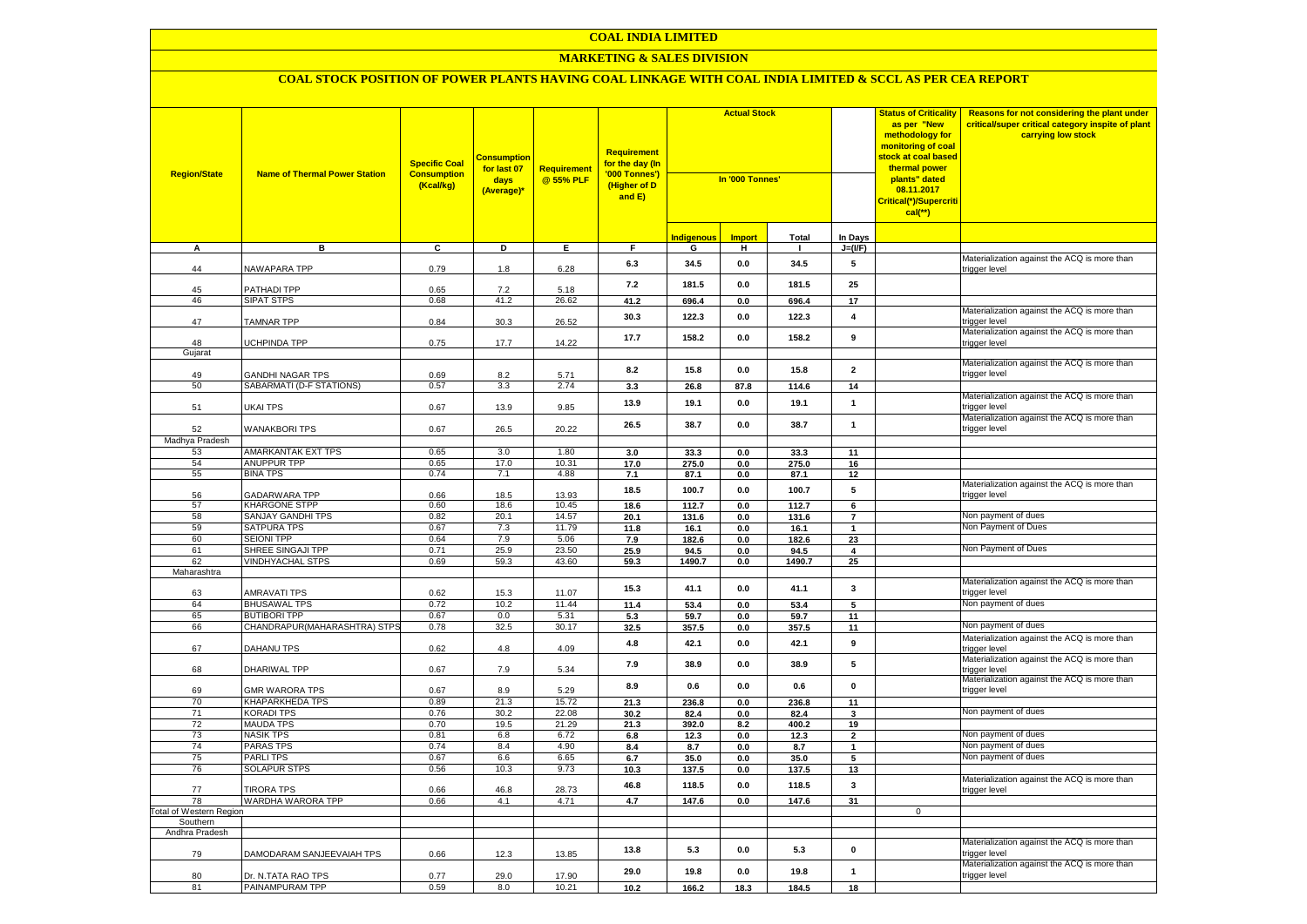#### **COAL INDIA LIMITED**

#### **MARKETING & SALES DIVISION**

| <b>Region/State</b>            | <b>Name of Thermal Power Station</b>        | <b>Specific Coal</b><br><b>Consumption</b><br>(Kcal/kg) | <b>Consumption</b><br>for last 07<br>days<br>(Average)* | <b>Requirement</b><br>@ 55% PLF | <b>Requirement</b><br>for the day (In<br>'000 Tonnes')<br>(Higher of D<br>and E) | <b>Actual Stock</b><br>In '000 Tonnes' |               |               | <b>Status of Criticality</b><br>as per "New<br>methodology for<br>monitoring of coal<br>stock at coal based<br>thermal power<br>plants" dated<br>08.11.2017<br><mark>Critical(*)/Supercriti</mark><br>$cal(**)$ | Reasons for not considering the plant under<br>critical/super critical category inspite of plant<br>carrying low stock |                                                               |
|--------------------------------|---------------------------------------------|---------------------------------------------------------|---------------------------------------------------------|---------------------------------|----------------------------------------------------------------------------------|----------------------------------------|---------------|---------------|-----------------------------------------------------------------------------------------------------------------------------------------------------------------------------------------------------------------|------------------------------------------------------------------------------------------------------------------------|---------------------------------------------------------------|
|                                |                                             |                                                         |                                                         |                                 |                                                                                  | <b>Indigenous</b>                      | <b>Import</b> | <b>Total</b>  | In Days                                                                                                                                                                                                         |                                                                                                                        |                                                               |
| A                              | в                                           | C                                                       | D                                                       | Е.                              | F.                                                                               | G                                      | н.            | л.            | $J=(VF)$                                                                                                                                                                                                        |                                                                                                                        |                                                               |
| 44                             | NAWAPARA TPP                                | 0.79                                                    | 1.8                                                     | 6.28                            | 6.3                                                                              | 34.5                                   | $0.0\,$       | 34.5          | 5                                                                                                                                                                                                               |                                                                                                                        | Materialization against the ACQ is more than<br>trigger level |
| 45                             | PATHADI TPP                                 | 0.65                                                    | 7.2                                                     | 5.18                            | 7.2                                                                              | 181.5                                  | 0.0           | 181.5         | 25                                                                                                                                                                                                              |                                                                                                                        |                                                               |
| 46                             | <b>SIPAT STPS</b>                           | 0.68                                                    | 41.2                                                    | 26.62                           | 41.2                                                                             | 696.4                                  | 0.0           | 696.4         | 17                                                                                                                                                                                                              |                                                                                                                        | Materialization against the ACQ is more than                  |
| 47                             | <b>TAMNAR TPP</b>                           | 0.84                                                    | 30.3                                                    | 26.52                           | 30.3                                                                             | 122.3                                  | 0.0           | 122.3         | $\overline{\mathbf{4}}$                                                                                                                                                                                         |                                                                                                                        | trigger level<br>Materialization against the ACQ is more than |
| 48                             | <b>UCHPINDA TPP</b>                         | 0.75                                                    | 17.7                                                    | 14.22                           | 17.7                                                                             | 158.2                                  | 0.0           | 158.2         | 9                                                                                                                                                                                                               |                                                                                                                        | trigger level                                                 |
| Gujarat                        |                                             |                                                         |                                                         |                                 |                                                                                  |                                        |               |               |                                                                                                                                                                                                                 |                                                                                                                        | Materialization against the ACQ is more than                  |
| 49                             | <b>GANDHI NAGAR TPS</b>                     | 0.69                                                    | 8.2                                                     | 5.71                            | 8.2                                                                              | 15.8                                   | 0.0           | 15.8          | $\mathbf{2}$                                                                                                                                                                                                    |                                                                                                                        | trigger level                                                 |
| 50                             | SABARMATI (D-F STATIONS)                    | 0.57                                                    | 3.3                                                     | 2.74                            | 3.3                                                                              | 26.8                                   | 87.8          | 114.6         | 14                                                                                                                                                                                                              |                                                                                                                        | Materialization against the ACQ is more than                  |
| 51                             | UKAI TPS                                    | 0.67                                                    | 13.9                                                    | 9.85                            | 13.9                                                                             | 19.1                                   | 0.0           | 19.1          | $\mathbf{1}$                                                                                                                                                                                                    |                                                                                                                        | rigger level                                                  |
| 52                             | <b>WANAKBORI TPS</b>                        | 0.67                                                    | 26.5                                                    | 20.22                           | 26.5                                                                             | 38.7                                   | 0.0           | 38.7          | $\mathbf{1}$                                                                                                                                                                                                    |                                                                                                                        | Materialization against the ACQ is more than<br>trigger level |
| Madhya Pradesh                 | <b>AMARKANTAK EXT TPS</b>                   | 0.65                                                    | 3.0                                                     | 1.80                            |                                                                                  |                                        |               |               |                                                                                                                                                                                                                 |                                                                                                                        |                                                               |
| 53<br>54                       | ANUPPUR TPP                                 | 0.65                                                    | 17.0                                                    | 10.31                           | 3.0<br>17.0                                                                      | 33.3<br>275.0                          | 0.0<br>0.0    | 33.3<br>275.0 | 11<br>16                                                                                                                                                                                                        |                                                                                                                        |                                                               |
| 55                             | <b>BINA TPS</b>                             | 0.74                                                    | 7.1                                                     | 4.88                            | 7.1                                                                              | 87.1                                   | 0.0           | 87.1          | 12                                                                                                                                                                                                              |                                                                                                                        |                                                               |
| 56                             | <b>GADARWARA TPP</b>                        | 0.66                                                    | 18.5                                                    | 13.93                           | 18.5                                                                             | 100.7                                  | 0.0           | 100.7         | 5                                                                                                                                                                                                               |                                                                                                                        | Materialization against the ACQ is more than<br>trigger level |
| 57                             | <b>KHARGONE STPP</b>                        | 0.60                                                    | 18.6                                                    | 10.45                           | 18.6                                                                             | 112.7                                  | 0.0           | 112.7         | 6                                                                                                                                                                                                               |                                                                                                                        |                                                               |
| 58                             | <b>SANJAY GANDHI TPS</b>                    | 0.82                                                    | 20.1                                                    | 14.57                           | 20.1                                                                             | 131.6                                  | 0.0           | 131.6         | $\overline{7}$                                                                                                                                                                                                  |                                                                                                                        | Non payment of dues                                           |
| 59                             | <b>SATPURA TPS</b><br><b>SEIONI TPP</b>     | 0.67                                                    | 7.3<br>7.9                                              | 11.79                           | 11.8                                                                             | 16.1                                   | 0.0           | 16.1          | $\mathbf{1}$                                                                                                                                                                                                    |                                                                                                                        | Non Payment of Dues                                           |
| 60<br>61                       | SHREE SINGAJI TPP                           | 0.64<br>0.71                                            | 25.9                                                    | 5.06<br>23.50                   | 7.9<br>25.9                                                                      | 182.6<br>94.5                          | 0.0<br>0.0    | 182.6<br>94.5 | 23<br>$\overline{\mathbf{4}}$                                                                                                                                                                                   |                                                                                                                        | Non Payment of Dues                                           |
| 62                             | <b>VINDHYACHAL STPS</b>                     | 0.69                                                    | 59.3                                                    | 43.60                           | 59.3                                                                             | 1490.7                                 | 0.0           | 1490.7        | 25                                                                                                                                                                                                              |                                                                                                                        |                                                               |
| Maharashtra                    |                                             |                                                         |                                                         |                                 |                                                                                  |                                        |               |               |                                                                                                                                                                                                                 |                                                                                                                        |                                                               |
| 63                             | <b>AMRAVATI TPS</b>                         | 0.62                                                    | 15.3                                                    | 11.07                           | 15.3                                                                             | 41.1                                   | 0.0           | 41.1          | $\mathbf{3}$                                                                                                                                                                                                    |                                                                                                                        | Materialization against the ACQ is more than<br>trigger level |
| 64                             | <b>BHUSAWAL TPS</b>                         | 0.72                                                    | 10.2                                                    | 11.44                           | 11.4                                                                             | 53.4                                   | $0.0\,$       | 53.4          | 5                                                                                                                                                                                                               |                                                                                                                        | Non payment of dues                                           |
| 65                             | <b>BUTIBORI TPP</b>                         | 0.67                                                    | 0.0                                                     | 5.31                            | 5.3                                                                              | 59.7                                   | 0.0           | 59.7          | 11                                                                                                                                                                                                              |                                                                                                                        |                                                               |
| 66                             | CHANDRAPUR(MAHARASHTRA) STPS                | 0.78                                                    | 32.5                                                    | 30.17                           | 32.5                                                                             | 357.5                                  | 0.0           | 357.5         | 11                                                                                                                                                                                                              |                                                                                                                        | Non payment of dues                                           |
| 67                             | DAHANU TPS                                  | 0.62                                                    | 4.8                                                     | 4.09                            | 4.8                                                                              | 42.1                                   | $0.0\,$       | 42.1          | 9                                                                                                                                                                                                               |                                                                                                                        | Materialization against the ACQ is more than<br>trigger level |
| 68                             | DHARIWAL TPP                                | 0.67                                                    | 7.9                                                     | 5.34                            | 7.9                                                                              | 38.9                                   | 0.0           | 38.9          | 5                                                                                                                                                                                                               |                                                                                                                        | Materialization against the ACQ is more than<br>trigger level |
| 69                             | <b>GMR WARORA TPS</b>                       | 0.67                                                    | 8.9                                                     | 5.29                            | 8.9                                                                              | 0.6                                    | $0.0\,$       | $0.6\,$       | $\mathbf 0$                                                                                                                                                                                                     |                                                                                                                        | Materialization against the ACQ is more than<br>trigger level |
| 70<br>71                       | <b>KHAPARKHEDA TPS</b><br><b>KORADI TPS</b> | 0.89<br>0.76                                            | 21.3<br>30.2                                            | 15.72<br>22.08                  | 21.3                                                                             | 236.8                                  | 0.0           | 236.8         | 11                                                                                                                                                                                                              |                                                                                                                        | Non payment of dues                                           |
| 72                             | <b>MAUDA TPS</b>                            | 0.70                                                    | 19.5                                                    | 21.29                           | 30.2<br>21.3                                                                     | 82.4<br>392.0                          | 0.0<br>8.2    | 82.4<br>400.2 | 3<br>19                                                                                                                                                                                                         |                                                                                                                        |                                                               |
| 73                             | <b>NASIK TPS</b>                            | 0.81                                                    | 6.8                                                     | 6.72                            | $6.8\,$                                                                          | 12.3                                   | $0.0\,$       | 12.3          | $\overline{\mathbf{2}}$                                                                                                                                                                                         |                                                                                                                        | Non payment of dues                                           |
| 74                             | <b>PARAS TPS</b>                            | 0.74                                                    | 8.4                                                     | 4.90                            | 8.4                                                                              | 8.7                                    | 0.0           | 8.7           | 1                                                                                                                                                                                                               |                                                                                                                        | Non payment of dues                                           |
| 75                             | <b>PARLITPS</b>                             | 0.67                                                    | 6.6                                                     | 6.65                            | 6.7                                                                              | 35.0                                   | 0.0           | 35.0          | 5                                                                                                                                                                                                               |                                                                                                                        | Non payment of dues                                           |
| 76                             | SOLAPUR STPS                                | 0.56                                                    | 10.3                                                    | 9.73                            | 10.3                                                                             | 137.5                                  | 0.0           | 137.5         | 13                                                                                                                                                                                                              |                                                                                                                        |                                                               |
| 77                             | <b>TIRORA TPS</b>                           | 0.66                                                    | 46.8                                                    | 28.73                           | 46.8                                                                             | 118.5                                  | 0.0           | 118.5         | 3                                                                                                                                                                                                               |                                                                                                                        | Materialization against the ACQ is more than<br>trigger level |
| 78                             | WARDHA WARORA TPP                           | 0.66                                                    | 4.1                                                     | 4.71                            | 4.7                                                                              | 147.6                                  | 0.0           | 147.6         | 31                                                                                                                                                                                                              |                                                                                                                        |                                                               |
| <b>Total of Western Region</b> |                                             |                                                         |                                                         |                                 |                                                                                  |                                        |               |               |                                                                                                                                                                                                                 | $\overline{0}$                                                                                                         |                                                               |
| Southern<br>Andhra Pradesh     |                                             |                                                         |                                                         |                                 |                                                                                  |                                        |               |               |                                                                                                                                                                                                                 |                                                                                                                        |                                                               |
| 79                             | DAMODARAM SANJEEVAIAH TPS                   | 0.66                                                    | 12.3                                                    | 13.85                           | 13.8                                                                             | 5.3                                    | 0.0           | 5.3           | $\pmb{0}$                                                                                                                                                                                                       |                                                                                                                        | Materialization against the ACQ is more than<br>rigger level  |
| 80                             | Dr. N.TATA RAO TPS                          | 0.77                                                    | 29.0                                                    | 17.90                           | 29.0                                                                             | 19.8                                   | 0.0           | 19.8          | $\mathbf{1}$                                                                                                                                                                                                    |                                                                                                                        | Materialization against the ACQ is more than<br>trigger level |
| 81                             | PAINAMPURAM TPP                             | 0.59                                                    | 8.0                                                     | 10.21                           | 10.2                                                                             | 166.2                                  | 18.3          | 184.5         | 18                                                                                                                                                                                                              |                                                                                                                        |                                                               |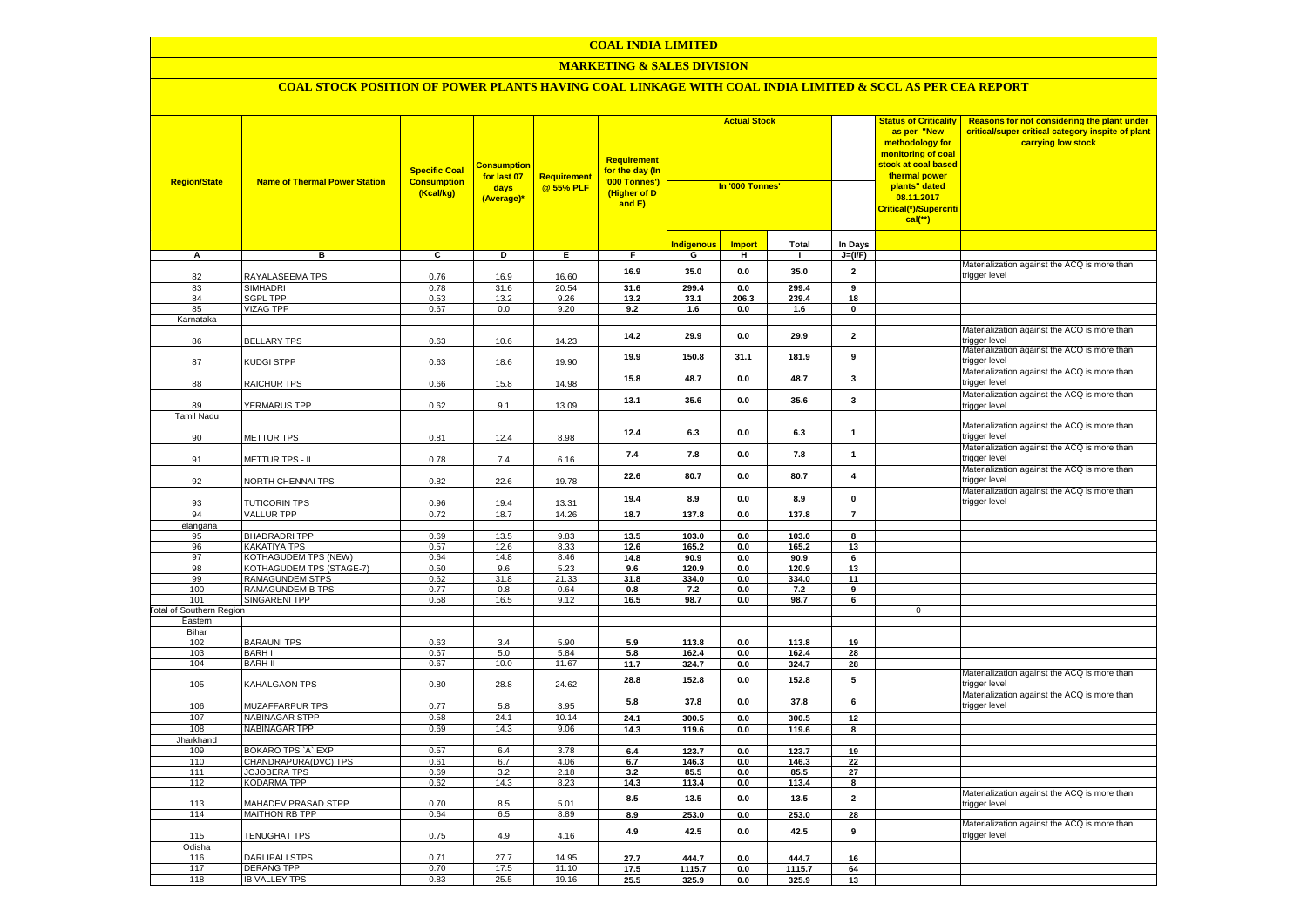#### **COAL INDIA LIMITED**

## **MARKETING & SALES DIVISION**

| Total<br><u>Indigenous</u><br><b>Import</b><br>In Days<br>в<br>$\overline{c}$<br>A<br>D<br>Е.<br>F.<br>G<br>н<br>п.<br>$J=(VF)$<br>Materialization against the ACQ is more than<br>16.9<br>35.0<br>$\mathbf{0.0}$<br>35.0<br>$\overline{\mathbf{2}}$<br>RAYALASEEMA TPS<br>0.76<br>trigger level<br>82<br>16.9<br>16.60<br><b>SIMHADRI</b><br>0.78<br>31.6<br>20.54<br>299.4<br>83<br>31.6<br>0.0<br>299.4<br>9<br><b>SGPL TPP</b><br>84<br>0.53<br>13.2<br>9.26<br>13.2<br>33.1<br>206.3<br>239.4<br>18<br><b>VIZAG TPP</b><br>0.67<br>0.0<br>9.20<br>9.2<br>85<br>1.6<br>0.0<br>1.6<br>$\mathbf 0$<br>Karnataka<br>Materialization against the ACQ is more than<br>14.2<br>29.9<br>0.0<br>29.9<br>$\overline{2}$<br><b>BELLARY TPS</b><br>86<br>0.63<br>10.6<br>14.23<br>rigger level<br>Materialization against the ACQ is more than<br>19.9<br>150.8<br>31.1<br>181.9<br>9<br>trigger level<br>87<br><b>KUDGI STPP</b><br>0.63<br>18.6<br>19.90<br>Materialization against the ACQ is more than<br>48.7<br>$\mathbf{3}$<br>15.8<br>0.0<br>48.7<br>88<br><b>RAICHUR TPS</b><br>0.66<br>14.98<br>trigger level<br>15.8<br>Materialization against the ACQ is more than<br>13.1<br>35.6<br>0.0<br>35.6<br>3<br>89<br>YERMARUS TPP<br>0.62<br>9.1<br>13.09<br>trigger level<br><b>Tamil Nadu</b><br>Materialization against the ACQ is more than<br>12.4<br>$\mathbf{1}$<br>6.3<br>0.0<br>6.3<br>90<br>METTUR TPS<br>0.81<br>12.4<br>8.98<br>rigger level<br>Materialization against the ACQ is more than<br>7.4<br>7.8<br>0.0<br>7.8<br>$\mathbf{1}$<br>METTUR TPS - II<br>trigger level<br>0.78<br>7.4<br>6.16<br>91<br>Materialization against the ACQ is more than<br>22.6<br>80.7<br>0.0<br>80.7<br>$\overline{\mathbf{4}}$<br>0.82<br>22.6<br>trigger level<br>92<br>NORTH CHENNAI TPS<br>19.78<br>Materialization against the ACQ is more than<br>19.4<br>8.9<br>0.0<br>8.9<br>$\mathbf 0$<br>trigger level<br>93<br><b>TUTICORIN TPS</b><br>0.96<br>19.4<br>13.31<br>94<br><b>VALLUR TPP</b><br>0.72<br>18.7<br>14.26<br>18.7<br>137.8<br>0.0<br>137.8<br>$\overline{7}$<br>Telangana<br>0.69<br><b>BHADRADRI TPP</b><br>13.5<br>9.83<br>13.5<br>103.0<br>0.0<br>103.0<br>95<br>8<br><b>KAKATIYA TPS</b><br>96<br>0.57<br>12.6<br>8.33<br>12.6<br>165.2<br>0.0<br>13<br>165.2<br><b>KOTHAGUDEM TPS (NEW)</b><br>14.8<br>14.8<br>97<br>0.64<br>8.46<br>90.9<br>0.0<br>90.9<br>6<br>KOTHAGUDEM TPS (STAGE-7)<br>120.9<br>98<br>0.50<br>9.6<br>5.23<br>9.6<br>0.0<br>120.9<br>13<br><b>RAMAGUNDEM STPS</b><br>31.8<br>31.8<br>99<br>0.62<br>21.33<br>334.0<br>0.0<br>334.0<br>11<br>100<br><b>RAMAGUNDEM-B TPS</b><br>0.77<br>0.8<br>0.64<br>0.8<br>7.2<br>0.0<br>7.2<br>9<br>101<br><b>SINGARENI TPP</b><br>0.58<br>16.5<br>9.12<br>16.5<br>98.7<br>0.0<br>98.7<br>6<br><b>Total of Southern Region</b><br>$\mathbf 0$<br>Eastern<br>Bihar<br>102<br><b>BARAUNI TPS</b><br>0.63<br>3.4<br>5.90<br>5.9<br>113.8<br>0.0<br>113.8<br>19<br>103<br><b>BARHI</b><br>0.67<br>$5.0\,$<br>5.84<br>5.8<br>162.4<br>0.0<br>162.4<br>28<br>104<br><b>BARH II</b><br>0.67<br>10.0<br>11.67<br>324.7<br>11.7<br>0.0<br>324.7<br>28<br>Materialization against the ACQ is more than<br>5<br>28.8<br>152.8<br>0.0<br>152.8<br>trigger level<br>105<br>KAHALGAON TPS<br>0.80<br>28.8<br>24.62<br>Materialization against the ACQ is more than<br>5.8<br>37.8<br>0.0<br>37.8<br>6<br>trigger level<br>106<br>MUZAFFARPUR TPS<br>0.77<br>3.95<br>5.8<br>107<br><b>NABINAGAR STPP</b><br>0.58<br>24.1<br>10.14<br>24.1<br>300.5<br>0.0<br>300.5<br>12<br>14.3<br>108<br><b>NABINAGAR TPP</b><br>0.69<br>9.06<br>14.3<br>119.6<br>0.0<br>119.6<br>8<br>Jharkhand<br>BOKARO TPS `A` EXP<br>109<br>0.57<br>6.4<br>3.78<br>6.4<br>123.7<br>0.0<br>123.7<br>19<br>110<br>CHANDRAPURA(DVC) TPS<br>0.61<br>6.7<br>4.06<br>6.7<br>146.3<br>$0.0\,$<br>146.3<br>22<br>111<br>JOJOBERA TPS<br>0.69<br>3.2<br>2.18<br>3.2<br>85.5<br>27<br>0.0<br>85.5<br>112<br><b>KODARMA TPP</b><br>0.62<br>14.3<br>8.23<br>14.3<br>113.4<br>0.0<br>113.4<br>8<br>Materialization against the ACQ is more than<br>$\overline{2}$<br>8.5<br>13.5<br>$0.0\,$<br>13.5<br>MAHADEV PRASAD STPP<br>0.70<br>8.5<br>5.01<br>113<br>trigger level<br><b>MAITHON RB TPP</b><br>114<br>0.64<br>6.5<br>8.89<br>253.0<br>8.9<br>0.0<br>253.0<br>28<br>Materialization against the ACQ is more than<br>4.9<br>42.5<br>0.0<br>42.5<br>9<br>115<br><b>TENUGHAT TPS</b><br>0.75<br>4.9<br>4.16<br>trigger level:<br>Odisha<br>27.7<br><b>DARLIPALI STPS</b><br>0.71<br>14.95<br>27.7<br>444.7<br>444.7<br>116<br>0.0<br>16<br>117<br><b>DERANG TPP</b><br>0.70<br>17.5<br>11.10<br>17.5<br>1115.7<br>1115.7<br>0.0<br>64<br>118<br><b>IB VALLEY TPS</b><br>25.5<br>0.83<br>19.16<br>25.5<br>325.9<br>0.0<br>325.9<br>13 | <b>Region/State</b> | <b>Name of Thermal Power Station</b> | <b>Specific Coal</b><br><b>Consumption</b><br>(Kcal/kg) | <mark>Consumption</mark><br>for last 07<br>days<br>(Average)* | <b>Requirement</b><br>@ 55% PLF | <b>Requirement</b><br>for the day (In<br>'000 Tonnes')<br>(Higher of D<br>and E) | <b>Actual Stock</b><br>In '000 Tonnes' |  | <b>Status of Criticality</b><br>as per "New<br>methodology for<br>monitoring of coal<br>stock at coal based<br>thermal power<br>plants" dated<br>08.11.2017<br>Critical(*)/Supercriti<br>$cal$ (**) | Reasons for not considering the plant under<br>critical/super critical category inspite of plant<br>carrying low stock |  |
|-------------------------------------------------------------------------------------------------------------------------------------------------------------------------------------------------------------------------------------------------------------------------------------------------------------------------------------------------------------------------------------------------------------------------------------------------------------------------------------------------------------------------------------------------------------------------------------------------------------------------------------------------------------------------------------------------------------------------------------------------------------------------------------------------------------------------------------------------------------------------------------------------------------------------------------------------------------------------------------------------------------------------------------------------------------------------------------------------------------------------------------------------------------------------------------------------------------------------------------------------------------------------------------------------------------------------------------------------------------------------------------------------------------------------------------------------------------------------------------------------------------------------------------------------------------------------------------------------------------------------------------------------------------------------------------------------------------------------------------------------------------------------------------------------------------------------------------------------------------------------------------------------------------------------------------------------------------------------------------------------------------------------------------------------------------------------------------------------------------------------------------------------------------------------------------------------------------------------------------------------------------------------------------------------------------------------------------------------------------------------------------------------------------------------------------------------------------------------------------------------------------------------------------------------------------------------------------------------------------------------------------------------------------------------------------------------------------------------------------------------------------------------------------------------------------------------------------------------------------------------------------------------------------------------------------------------------------------------------------------------------------------------------------------------------------------------------------------------------------------------------------------------------------------------------------------------------------------------------------------------------------------------------------------------------------------------------------------------------------------------------------------------------------------------------------------------------------------------------------------------------------------------------------------------------------------------------------------------------------------------------------------------------------------------------------------------------------------------------------------------------------------------------------------------------------------------------------------------------------------------------------------------------------------------------------------------------------------------------------------------------------------------------------------------------------------------------------------------------------------------------------------------------------------------------------------------------------------------------------------------------------------------------------------------------------------------------------------------------------------------------------------------------------------------------------------------------------------------------------------------------------------------------------------------------------------------------------------------------------------------------------------------------------------------------------------------------------------------------------------------------------------|---------------------|--------------------------------------|---------------------------------------------------------|---------------------------------------------------------------|---------------------------------|----------------------------------------------------------------------------------|----------------------------------------|--|-----------------------------------------------------------------------------------------------------------------------------------------------------------------------------------------------------|------------------------------------------------------------------------------------------------------------------------|--|
|                                                                                                                                                                                                                                                                                                                                                                                                                                                                                                                                                                                                                                                                                                                                                                                                                                                                                                                                                                                                                                                                                                                                                                                                                                                                                                                                                                                                                                                                                                                                                                                                                                                                                                                                                                                                                                                                                                                                                                                                                                                                                                                                                                                                                                                                                                                                                                                                                                                                                                                                                                                                                                                                                                                                                                                                                                                                                                                                                                                                                                                                                                                                                                                                                                                                                                                                                                                                                                                                                                                                                                                                                                                                                                                                                                                                                                                                                                                                                                                                                                                                                                                                                                                                                                                                                                                                                                                                                                                                                                                                                                                                                                                                                                                                                                   |                     |                                      |                                                         |                                                               |                                 |                                                                                  |                                        |  |                                                                                                                                                                                                     |                                                                                                                        |  |
|                                                                                                                                                                                                                                                                                                                                                                                                                                                                                                                                                                                                                                                                                                                                                                                                                                                                                                                                                                                                                                                                                                                                                                                                                                                                                                                                                                                                                                                                                                                                                                                                                                                                                                                                                                                                                                                                                                                                                                                                                                                                                                                                                                                                                                                                                                                                                                                                                                                                                                                                                                                                                                                                                                                                                                                                                                                                                                                                                                                                                                                                                                                                                                                                                                                                                                                                                                                                                                                                                                                                                                                                                                                                                                                                                                                                                                                                                                                                                                                                                                                                                                                                                                                                                                                                                                                                                                                                                                                                                                                                                                                                                                                                                                                                                                   |                     |                                      |                                                         |                                                               |                                 |                                                                                  |                                        |  |                                                                                                                                                                                                     |                                                                                                                        |  |
|                                                                                                                                                                                                                                                                                                                                                                                                                                                                                                                                                                                                                                                                                                                                                                                                                                                                                                                                                                                                                                                                                                                                                                                                                                                                                                                                                                                                                                                                                                                                                                                                                                                                                                                                                                                                                                                                                                                                                                                                                                                                                                                                                                                                                                                                                                                                                                                                                                                                                                                                                                                                                                                                                                                                                                                                                                                                                                                                                                                                                                                                                                                                                                                                                                                                                                                                                                                                                                                                                                                                                                                                                                                                                                                                                                                                                                                                                                                                                                                                                                                                                                                                                                                                                                                                                                                                                                                                                                                                                                                                                                                                                                                                                                                                                                   |                     |                                      |                                                         |                                                               |                                 |                                                                                  |                                        |  |                                                                                                                                                                                                     |                                                                                                                        |  |
|                                                                                                                                                                                                                                                                                                                                                                                                                                                                                                                                                                                                                                                                                                                                                                                                                                                                                                                                                                                                                                                                                                                                                                                                                                                                                                                                                                                                                                                                                                                                                                                                                                                                                                                                                                                                                                                                                                                                                                                                                                                                                                                                                                                                                                                                                                                                                                                                                                                                                                                                                                                                                                                                                                                                                                                                                                                                                                                                                                                                                                                                                                                                                                                                                                                                                                                                                                                                                                                                                                                                                                                                                                                                                                                                                                                                                                                                                                                                                                                                                                                                                                                                                                                                                                                                                                                                                                                                                                                                                                                                                                                                                                                                                                                                                                   |                     |                                      |                                                         |                                                               |                                 |                                                                                  |                                        |  |                                                                                                                                                                                                     |                                                                                                                        |  |
|                                                                                                                                                                                                                                                                                                                                                                                                                                                                                                                                                                                                                                                                                                                                                                                                                                                                                                                                                                                                                                                                                                                                                                                                                                                                                                                                                                                                                                                                                                                                                                                                                                                                                                                                                                                                                                                                                                                                                                                                                                                                                                                                                                                                                                                                                                                                                                                                                                                                                                                                                                                                                                                                                                                                                                                                                                                                                                                                                                                                                                                                                                                                                                                                                                                                                                                                                                                                                                                                                                                                                                                                                                                                                                                                                                                                                                                                                                                                                                                                                                                                                                                                                                                                                                                                                                                                                                                                                                                                                                                                                                                                                                                                                                                                                                   |                     |                                      |                                                         |                                                               |                                 |                                                                                  |                                        |  |                                                                                                                                                                                                     |                                                                                                                        |  |
|                                                                                                                                                                                                                                                                                                                                                                                                                                                                                                                                                                                                                                                                                                                                                                                                                                                                                                                                                                                                                                                                                                                                                                                                                                                                                                                                                                                                                                                                                                                                                                                                                                                                                                                                                                                                                                                                                                                                                                                                                                                                                                                                                                                                                                                                                                                                                                                                                                                                                                                                                                                                                                                                                                                                                                                                                                                                                                                                                                                                                                                                                                                                                                                                                                                                                                                                                                                                                                                                                                                                                                                                                                                                                                                                                                                                                                                                                                                                                                                                                                                                                                                                                                                                                                                                                                                                                                                                                                                                                                                                                                                                                                                                                                                                                                   |                     |                                      |                                                         |                                                               |                                 |                                                                                  |                                        |  |                                                                                                                                                                                                     |                                                                                                                        |  |
|                                                                                                                                                                                                                                                                                                                                                                                                                                                                                                                                                                                                                                                                                                                                                                                                                                                                                                                                                                                                                                                                                                                                                                                                                                                                                                                                                                                                                                                                                                                                                                                                                                                                                                                                                                                                                                                                                                                                                                                                                                                                                                                                                                                                                                                                                                                                                                                                                                                                                                                                                                                                                                                                                                                                                                                                                                                                                                                                                                                                                                                                                                                                                                                                                                                                                                                                                                                                                                                                                                                                                                                                                                                                                                                                                                                                                                                                                                                                                                                                                                                                                                                                                                                                                                                                                                                                                                                                                                                                                                                                                                                                                                                                                                                                                                   |                     |                                      |                                                         |                                                               |                                 |                                                                                  |                                        |  |                                                                                                                                                                                                     |                                                                                                                        |  |
|                                                                                                                                                                                                                                                                                                                                                                                                                                                                                                                                                                                                                                                                                                                                                                                                                                                                                                                                                                                                                                                                                                                                                                                                                                                                                                                                                                                                                                                                                                                                                                                                                                                                                                                                                                                                                                                                                                                                                                                                                                                                                                                                                                                                                                                                                                                                                                                                                                                                                                                                                                                                                                                                                                                                                                                                                                                                                                                                                                                                                                                                                                                                                                                                                                                                                                                                                                                                                                                                                                                                                                                                                                                                                                                                                                                                                                                                                                                                                                                                                                                                                                                                                                                                                                                                                                                                                                                                                                                                                                                                                                                                                                                                                                                                                                   |                     |                                      |                                                         |                                                               |                                 |                                                                                  |                                        |  |                                                                                                                                                                                                     |                                                                                                                        |  |
|                                                                                                                                                                                                                                                                                                                                                                                                                                                                                                                                                                                                                                                                                                                                                                                                                                                                                                                                                                                                                                                                                                                                                                                                                                                                                                                                                                                                                                                                                                                                                                                                                                                                                                                                                                                                                                                                                                                                                                                                                                                                                                                                                                                                                                                                                                                                                                                                                                                                                                                                                                                                                                                                                                                                                                                                                                                                                                                                                                                                                                                                                                                                                                                                                                                                                                                                                                                                                                                                                                                                                                                                                                                                                                                                                                                                                                                                                                                                                                                                                                                                                                                                                                                                                                                                                                                                                                                                                                                                                                                                                                                                                                                                                                                                                                   |                     |                                      |                                                         |                                                               |                                 |                                                                                  |                                        |  |                                                                                                                                                                                                     |                                                                                                                        |  |
|                                                                                                                                                                                                                                                                                                                                                                                                                                                                                                                                                                                                                                                                                                                                                                                                                                                                                                                                                                                                                                                                                                                                                                                                                                                                                                                                                                                                                                                                                                                                                                                                                                                                                                                                                                                                                                                                                                                                                                                                                                                                                                                                                                                                                                                                                                                                                                                                                                                                                                                                                                                                                                                                                                                                                                                                                                                                                                                                                                                                                                                                                                                                                                                                                                                                                                                                                                                                                                                                                                                                                                                                                                                                                                                                                                                                                                                                                                                                                                                                                                                                                                                                                                                                                                                                                                                                                                                                                                                                                                                                                                                                                                                                                                                                                                   |                     |                                      |                                                         |                                                               |                                 |                                                                                  |                                        |  |                                                                                                                                                                                                     |                                                                                                                        |  |
|                                                                                                                                                                                                                                                                                                                                                                                                                                                                                                                                                                                                                                                                                                                                                                                                                                                                                                                                                                                                                                                                                                                                                                                                                                                                                                                                                                                                                                                                                                                                                                                                                                                                                                                                                                                                                                                                                                                                                                                                                                                                                                                                                                                                                                                                                                                                                                                                                                                                                                                                                                                                                                                                                                                                                                                                                                                                                                                                                                                                                                                                                                                                                                                                                                                                                                                                                                                                                                                                                                                                                                                                                                                                                                                                                                                                                                                                                                                                                                                                                                                                                                                                                                                                                                                                                                                                                                                                                                                                                                                                                                                                                                                                                                                                                                   |                     |                                      |                                                         |                                                               |                                 |                                                                                  |                                        |  |                                                                                                                                                                                                     |                                                                                                                        |  |
|                                                                                                                                                                                                                                                                                                                                                                                                                                                                                                                                                                                                                                                                                                                                                                                                                                                                                                                                                                                                                                                                                                                                                                                                                                                                                                                                                                                                                                                                                                                                                                                                                                                                                                                                                                                                                                                                                                                                                                                                                                                                                                                                                                                                                                                                                                                                                                                                                                                                                                                                                                                                                                                                                                                                                                                                                                                                                                                                                                                                                                                                                                                                                                                                                                                                                                                                                                                                                                                                                                                                                                                                                                                                                                                                                                                                                                                                                                                                                                                                                                                                                                                                                                                                                                                                                                                                                                                                                                                                                                                                                                                                                                                                                                                                                                   |                     |                                      |                                                         |                                                               |                                 |                                                                                  |                                        |  |                                                                                                                                                                                                     |                                                                                                                        |  |
|                                                                                                                                                                                                                                                                                                                                                                                                                                                                                                                                                                                                                                                                                                                                                                                                                                                                                                                                                                                                                                                                                                                                                                                                                                                                                                                                                                                                                                                                                                                                                                                                                                                                                                                                                                                                                                                                                                                                                                                                                                                                                                                                                                                                                                                                                                                                                                                                                                                                                                                                                                                                                                                                                                                                                                                                                                                                                                                                                                                                                                                                                                                                                                                                                                                                                                                                                                                                                                                                                                                                                                                                                                                                                                                                                                                                                                                                                                                                                                                                                                                                                                                                                                                                                                                                                                                                                                                                                                                                                                                                                                                                                                                                                                                                                                   |                     |                                      |                                                         |                                                               |                                 |                                                                                  |                                        |  |                                                                                                                                                                                                     |                                                                                                                        |  |
|                                                                                                                                                                                                                                                                                                                                                                                                                                                                                                                                                                                                                                                                                                                                                                                                                                                                                                                                                                                                                                                                                                                                                                                                                                                                                                                                                                                                                                                                                                                                                                                                                                                                                                                                                                                                                                                                                                                                                                                                                                                                                                                                                                                                                                                                                                                                                                                                                                                                                                                                                                                                                                                                                                                                                                                                                                                                                                                                                                                                                                                                                                                                                                                                                                                                                                                                                                                                                                                                                                                                                                                                                                                                                                                                                                                                                                                                                                                                                                                                                                                                                                                                                                                                                                                                                                                                                                                                                                                                                                                                                                                                                                                                                                                                                                   |                     |                                      |                                                         |                                                               |                                 |                                                                                  |                                        |  |                                                                                                                                                                                                     |                                                                                                                        |  |
|                                                                                                                                                                                                                                                                                                                                                                                                                                                                                                                                                                                                                                                                                                                                                                                                                                                                                                                                                                                                                                                                                                                                                                                                                                                                                                                                                                                                                                                                                                                                                                                                                                                                                                                                                                                                                                                                                                                                                                                                                                                                                                                                                                                                                                                                                                                                                                                                                                                                                                                                                                                                                                                                                                                                                                                                                                                                                                                                                                                                                                                                                                                                                                                                                                                                                                                                                                                                                                                                                                                                                                                                                                                                                                                                                                                                                                                                                                                                                                                                                                                                                                                                                                                                                                                                                                                                                                                                                                                                                                                                                                                                                                                                                                                                                                   |                     |                                      |                                                         |                                                               |                                 |                                                                                  |                                        |  |                                                                                                                                                                                                     |                                                                                                                        |  |
|                                                                                                                                                                                                                                                                                                                                                                                                                                                                                                                                                                                                                                                                                                                                                                                                                                                                                                                                                                                                                                                                                                                                                                                                                                                                                                                                                                                                                                                                                                                                                                                                                                                                                                                                                                                                                                                                                                                                                                                                                                                                                                                                                                                                                                                                                                                                                                                                                                                                                                                                                                                                                                                                                                                                                                                                                                                                                                                                                                                                                                                                                                                                                                                                                                                                                                                                                                                                                                                                                                                                                                                                                                                                                                                                                                                                                                                                                                                                                                                                                                                                                                                                                                                                                                                                                                                                                                                                                                                                                                                                                                                                                                                                                                                                                                   |                     |                                      |                                                         |                                                               |                                 |                                                                                  |                                        |  |                                                                                                                                                                                                     |                                                                                                                        |  |
|                                                                                                                                                                                                                                                                                                                                                                                                                                                                                                                                                                                                                                                                                                                                                                                                                                                                                                                                                                                                                                                                                                                                                                                                                                                                                                                                                                                                                                                                                                                                                                                                                                                                                                                                                                                                                                                                                                                                                                                                                                                                                                                                                                                                                                                                                                                                                                                                                                                                                                                                                                                                                                                                                                                                                                                                                                                                                                                                                                                                                                                                                                                                                                                                                                                                                                                                                                                                                                                                                                                                                                                                                                                                                                                                                                                                                                                                                                                                                                                                                                                                                                                                                                                                                                                                                                                                                                                                                                                                                                                                                                                                                                                                                                                                                                   |                     |                                      |                                                         |                                                               |                                 |                                                                                  |                                        |  |                                                                                                                                                                                                     |                                                                                                                        |  |
|                                                                                                                                                                                                                                                                                                                                                                                                                                                                                                                                                                                                                                                                                                                                                                                                                                                                                                                                                                                                                                                                                                                                                                                                                                                                                                                                                                                                                                                                                                                                                                                                                                                                                                                                                                                                                                                                                                                                                                                                                                                                                                                                                                                                                                                                                                                                                                                                                                                                                                                                                                                                                                                                                                                                                                                                                                                                                                                                                                                                                                                                                                                                                                                                                                                                                                                                                                                                                                                                                                                                                                                                                                                                                                                                                                                                                                                                                                                                                                                                                                                                                                                                                                                                                                                                                                                                                                                                                                                                                                                                                                                                                                                                                                                                                                   |                     |                                      |                                                         |                                                               |                                 |                                                                                  |                                        |  |                                                                                                                                                                                                     |                                                                                                                        |  |
|                                                                                                                                                                                                                                                                                                                                                                                                                                                                                                                                                                                                                                                                                                                                                                                                                                                                                                                                                                                                                                                                                                                                                                                                                                                                                                                                                                                                                                                                                                                                                                                                                                                                                                                                                                                                                                                                                                                                                                                                                                                                                                                                                                                                                                                                                                                                                                                                                                                                                                                                                                                                                                                                                                                                                                                                                                                                                                                                                                                                                                                                                                                                                                                                                                                                                                                                                                                                                                                                                                                                                                                                                                                                                                                                                                                                                                                                                                                                                                                                                                                                                                                                                                                                                                                                                                                                                                                                                                                                                                                                                                                                                                                                                                                                                                   |                     |                                      |                                                         |                                                               |                                 |                                                                                  |                                        |  |                                                                                                                                                                                                     |                                                                                                                        |  |
|                                                                                                                                                                                                                                                                                                                                                                                                                                                                                                                                                                                                                                                                                                                                                                                                                                                                                                                                                                                                                                                                                                                                                                                                                                                                                                                                                                                                                                                                                                                                                                                                                                                                                                                                                                                                                                                                                                                                                                                                                                                                                                                                                                                                                                                                                                                                                                                                                                                                                                                                                                                                                                                                                                                                                                                                                                                                                                                                                                                                                                                                                                                                                                                                                                                                                                                                                                                                                                                                                                                                                                                                                                                                                                                                                                                                                                                                                                                                                                                                                                                                                                                                                                                                                                                                                                                                                                                                                                                                                                                                                                                                                                                                                                                                                                   |                     |                                      |                                                         |                                                               |                                 |                                                                                  |                                        |  |                                                                                                                                                                                                     |                                                                                                                        |  |
|                                                                                                                                                                                                                                                                                                                                                                                                                                                                                                                                                                                                                                                                                                                                                                                                                                                                                                                                                                                                                                                                                                                                                                                                                                                                                                                                                                                                                                                                                                                                                                                                                                                                                                                                                                                                                                                                                                                                                                                                                                                                                                                                                                                                                                                                                                                                                                                                                                                                                                                                                                                                                                                                                                                                                                                                                                                                                                                                                                                                                                                                                                                                                                                                                                                                                                                                                                                                                                                                                                                                                                                                                                                                                                                                                                                                                                                                                                                                                                                                                                                                                                                                                                                                                                                                                                                                                                                                                                                                                                                                                                                                                                                                                                                                                                   |                     |                                      |                                                         |                                                               |                                 |                                                                                  |                                        |  |                                                                                                                                                                                                     |                                                                                                                        |  |
|                                                                                                                                                                                                                                                                                                                                                                                                                                                                                                                                                                                                                                                                                                                                                                                                                                                                                                                                                                                                                                                                                                                                                                                                                                                                                                                                                                                                                                                                                                                                                                                                                                                                                                                                                                                                                                                                                                                                                                                                                                                                                                                                                                                                                                                                                                                                                                                                                                                                                                                                                                                                                                                                                                                                                                                                                                                                                                                                                                                                                                                                                                                                                                                                                                                                                                                                                                                                                                                                                                                                                                                                                                                                                                                                                                                                                                                                                                                                                                                                                                                                                                                                                                                                                                                                                                                                                                                                                                                                                                                                                                                                                                                                                                                                                                   |                     |                                      |                                                         |                                                               |                                 |                                                                                  |                                        |  |                                                                                                                                                                                                     |                                                                                                                        |  |
|                                                                                                                                                                                                                                                                                                                                                                                                                                                                                                                                                                                                                                                                                                                                                                                                                                                                                                                                                                                                                                                                                                                                                                                                                                                                                                                                                                                                                                                                                                                                                                                                                                                                                                                                                                                                                                                                                                                                                                                                                                                                                                                                                                                                                                                                                                                                                                                                                                                                                                                                                                                                                                                                                                                                                                                                                                                                                                                                                                                                                                                                                                                                                                                                                                                                                                                                                                                                                                                                                                                                                                                                                                                                                                                                                                                                                                                                                                                                                                                                                                                                                                                                                                                                                                                                                                                                                                                                                                                                                                                                                                                                                                                                                                                                                                   |                     |                                      |                                                         |                                                               |                                 |                                                                                  |                                        |  |                                                                                                                                                                                                     |                                                                                                                        |  |
|                                                                                                                                                                                                                                                                                                                                                                                                                                                                                                                                                                                                                                                                                                                                                                                                                                                                                                                                                                                                                                                                                                                                                                                                                                                                                                                                                                                                                                                                                                                                                                                                                                                                                                                                                                                                                                                                                                                                                                                                                                                                                                                                                                                                                                                                                                                                                                                                                                                                                                                                                                                                                                                                                                                                                                                                                                                                                                                                                                                                                                                                                                                                                                                                                                                                                                                                                                                                                                                                                                                                                                                                                                                                                                                                                                                                                                                                                                                                                                                                                                                                                                                                                                                                                                                                                                                                                                                                                                                                                                                                                                                                                                                                                                                                                                   |                     |                                      |                                                         |                                                               |                                 |                                                                                  |                                        |  |                                                                                                                                                                                                     |                                                                                                                        |  |
|                                                                                                                                                                                                                                                                                                                                                                                                                                                                                                                                                                                                                                                                                                                                                                                                                                                                                                                                                                                                                                                                                                                                                                                                                                                                                                                                                                                                                                                                                                                                                                                                                                                                                                                                                                                                                                                                                                                                                                                                                                                                                                                                                                                                                                                                                                                                                                                                                                                                                                                                                                                                                                                                                                                                                                                                                                                                                                                                                                                                                                                                                                                                                                                                                                                                                                                                                                                                                                                                                                                                                                                                                                                                                                                                                                                                                                                                                                                                                                                                                                                                                                                                                                                                                                                                                                                                                                                                                                                                                                                                                                                                                                                                                                                                                                   |                     |                                      |                                                         |                                                               |                                 |                                                                                  |                                        |  |                                                                                                                                                                                                     |                                                                                                                        |  |
|                                                                                                                                                                                                                                                                                                                                                                                                                                                                                                                                                                                                                                                                                                                                                                                                                                                                                                                                                                                                                                                                                                                                                                                                                                                                                                                                                                                                                                                                                                                                                                                                                                                                                                                                                                                                                                                                                                                                                                                                                                                                                                                                                                                                                                                                                                                                                                                                                                                                                                                                                                                                                                                                                                                                                                                                                                                                                                                                                                                                                                                                                                                                                                                                                                                                                                                                                                                                                                                                                                                                                                                                                                                                                                                                                                                                                                                                                                                                                                                                                                                                                                                                                                                                                                                                                                                                                                                                                                                                                                                                                                                                                                                                                                                                                                   |                     |                                      |                                                         |                                                               |                                 |                                                                                  |                                        |  |                                                                                                                                                                                                     |                                                                                                                        |  |
|                                                                                                                                                                                                                                                                                                                                                                                                                                                                                                                                                                                                                                                                                                                                                                                                                                                                                                                                                                                                                                                                                                                                                                                                                                                                                                                                                                                                                                                                                                                                                                                                                                                                                                                                                                                                                                                                                                                                                                                                                                                                                                                                                                                                                                                                                                                                                                                                                                                                                                                                                                                                                                                                                                                                                                                                                                                                                                                                                                                                                                                                                                                                                                                                                                                                                                                                                                                                                                                                                                                                                                                                                                                                                                                                                                                                                                                                                                                                                                                                                                                                                                                                                                                                                                                                                                                                                                                                                                                                                                                                                                                                                                                                                                                                                                   |                     |                                      |                                                         |                                                               |                                 |                                                                                  |                                        |  |                                                                                                                                                                                                     |                                                                                                                        |  |
|                                                                                                                                                                                                                                                                                                                                                                                                                                                                                                                                                                                                                                                                                                                                                                                                                                                                                                                                                                                                                                                                                                                                                                                                                                                                                                                                                                                                                                                                                                                                                                                                                                                                                                                                                                                                                                                                                                                                                                                                                                                                                                                                                                                                                                                                                                                                                                                                                                                                                                                                                                                                                                                                                                                                                                                                                                                                                                                                                                                                                                                                                                                                                                                                                                                                                                                                                                                                                                                                                                                                                                                                                                                                                                                                                                                                                                                                                                                                                                                                                                                                                                                                                                                                                                                                                                                                                                                                                                                                                                                                                                                                                                                                                                                                                                   |                     |                                      |                                                         |                                                               |                                 |                                                                                  |                                        |  |                                                                                                                                                                                                     |                                                                                                                        |  |
|                                                                                                                                                                                                                                                                                                                                                                                                                                                                                                                                                                                                                                                                                                                                                                                                                                                                                                                                                                                                                                                                                                                                                                                                                                                                                                                                                                                                                                                                                                                                                                                                                                                                                                                                                                                                                                                                                                                                                                                                                                                                                                                                                                                                                                                                                                                                                                                                                                                                                                                                                                                                                                                                                                                                                                                                                                                                                                                                                                                                                                                                                                                                                                                                                                                                                                                                                                                                                                                                                                                                                                                                                                                                                                                                                                                                                                                                                                                                                                                                                                                                                                                                                                                                                                                                                                                                                                                                                                                                                                                                                                                                                                                                                                                                                                   |                     |                                      |                                                         |                                                               |                                 |                                                                                  |                                        |  |                                                                                                                                                                                                     |                                                                                                                        |  |
|                                                                                                                                                                                                                                                                                                                                                                                                                                                                                                                                                                                                                                                                                                                                                                                                                                                                                                                                                                                                                                                                                                                                                                                                                                                                                                                                                                                                                                                                                                                                                                                                                                                                                                                                                                                                                                                                                                                                                                                                                                                                                                                                                                                                                                                                                                                                                                                                                                                                                                                                                                                                                                                                                                                                                                                                                                                                                                                                                                                                                                                                                                                                                                                                                                                                                                                                                                                                                                                                                                                                                                                                                                                                                                                                                                                                                                                                                                                                                                                                                                                                                                                                                                                                                                                                                                                                                                                                                                                                                                                                                                                                                                                                                                                                                                   |                     |                                      |                                                         |                                                               |                                 |                                                                                  |                                        |  |                                                                                                                                                                                                     |                                                                                                                        |  |
|                                                                                                                                                                                                                                                                                                                                                                                                                                                                                                                                                                                                                                                                                                                                                                                                                                                                                                                                                                                                                                                                                                                                                                                                                                                                                                                                                                                                                                                                                                                                                                                                                                                                                                                                                                                                                                                                                                                                                                                                                                                                                                                                                                                                                                                                                                                                                                                                                                                                                                                                                                                                                                                                                                                                                                                                                                                                                                                                                                                                                                                                                                                                                                                                                                                                                                                                                                                                                                                                                                                                                                                                                                                                                                                                                                                                                                                                                                                                                                                                                                                                                                                                                                                                                                                                                                                                                                                                                                                                                                                                                                                                                                                                                                                                                                   |                     |                                      |                                                         |                                                               |                                 |                                                                                  |                                        |  |                                                                                                                                                                                                     |                                                                                                                        |  |
|                                                                                                                                                                                                                                                                                                                                                                                                                                                                                                                                                                                                                                                                                                                                                                                                                                                                                                                                                                                                                                                                                                                                                                                                                                                                                                                                                                                                                                                                                                                                                                                                                                                                                                                                                                                                                                                                                                                                                                                                                                                                                                                                                                                                                                                                                                                                                                                                                                                                                                                                                                                                                                                                                                                                                                                                                                                                                                                                                                                                                                                                                                                                                                                                                                                                                                                                                                                                                                                                                                                                                                                                                                                                                                                                                                                                                                                                                                                                                                                                                                                                                                                                                                                                                                                                                                                                                                                                                                                                                                                                                                                                                                                                                                                                                                   |                     |                                      |                                                         |                                                               |                                 |                                                                                  |                                        |  |                                                                                                                                                                                                     |                                                                                                                        |  |
|                                                                                                                                                                                                                                                                                                                                                                                                                                                                                                                                                                                                                                                                                                                                                                                                                                                                                                                                                                                                                                                                                                                                                                                                                                                                                                                                                                                                                                                                                                                                                                                                                                                                                                                                                                                                                                                                                                                                                                                                                                                                                                                                                                                                                                                                                                                                                                                                                                                                                                                                                                                                                                                                                                                                                                                                                                                                                                                                                                                                                                                                                                                                                                                                                                                                                                                                                                                                                                                                                                                                                                                                                                                                                                                                                                                                                                                                                                                                                                                                                                                                                                                                                                                                                                                                                                                                                                                                                                                                                                                                                                                                                                                                                                                                                                   |                     |                                      |                                                         |                                                               |                                 |                                                                                  |                                        |  |                                                                                                                                                                                                     |                                                                                                                        |  |
|                                                                                                                                                                                                                                                                                                                                                                                                                                                                                                                                                                                                                                                                                                                                                                                                                                                                                                                                                                                                                                                                                                                                                                                                                                                                                                                                                                                                                                                                                                                                                                                                                                                                                                                                                                                                                                                                                                                                                                                                                                                                                                                                                                                                                                                                                                                                                                                                                                                                                                                                                                                                                                                                                                                                                                                                                                                                                                                                                                                                                                                                                                                                                                                                                                                                                                                                                                                                                                                                                                                                                                                                                                                                                                                                                                                                                                                                                                                                                                                                                                                                                                                                                                                                                                                                                                                                                                                                                                                                                                                                                                                                                                                                                                                                                                   |                     |                                      |                                                         |                                                               |                                 |                                                                                  |                                        |  |                                                                                                                                                                                                     |                                                                                                                        |  |
|                                                                                                                                                                                                                                                                                                                                                                                                                                                                                                                                                                                                                                                                                                                                                                                                                                                                                                                                                                                                                                                                                                                                                                                                                                                                                                                                                                                                                                                                                                                                                                                                                                                                                                                                                                                                                                                                                                                                                                                                                                                                                                                                                                                                                                                                                                                                                                                                                                                                                                                                                                                                                                                                                                                                                                                                                                                                                                                                                                                                                                                                                                                                                                                                                                                                                                                                                                                                                                                                                                                                                                                                                                                                                                                                                                                                                                                                                                                                                                                                                                                                                                                                                                                                                                                                                                                                                                                                                                                                                                                                                                                                                                                                                                                                                                   |                     |                                      |                                                         |                                                               |                                 |                                                                                  |                                        |  |                                                                                                                                                                                                     |                                                                                                                        |  |
|                                                                                                                                                                                                                                                                                                                                                                                                                                                                                                                                                                                                                                                                                                                                                                                                                                                                                                                                                                                                                                                                                                                                                                                                                                                                                                                                                                                                                                                                                                                                                                                                                                                                                                                                                                                                                                                                                                                                                                                                                                                                                                                                                                                                                                                                                                                                                                                                                                                                                                                                                                                                                                                                                                                                                                                                                                                                                                                                                                                                                                                                                                                                                                                                                                                                                                                                                                                                                                                                                                                                                                                                                                                                                                                                                                                                                                                                                                                                                                                                                                                                                                                                                                                                                                                                                                                                                                                                                                                                                                                                                                                                                                                                                                                                                                   |                     |                                      |                                                         |                                                               |                                 |                                                                                  |                                        |  |                                                                                                                                                                                                     |                                                                                                                        |  |
|                                                                                                                                                                                                                                                                                                                                                                                                                                                                                                                                                                                                                                                                                                                                                                                                                                                                                                                                                                                                                                                                                                                                                                                                                                                                                                                                                                                                                                                                                                                                                                                                                                                                                                                                                                                                                                                                                                                                                                                                                                                                                                                                                                                                                                                                                                                                                                                                                                                                                                                                                                                                                                                                                                                                                                                                                                                                                                                                                                                                                                                                                                                                                                                                                                                                                                                                                                                                                                                                                                                                                                                                                                                                                                                                                                                                                                                                                                                                                                                                                                                                                                                                                                                                                                                                                                                                                                                                                                                                                                                                                                                                                                                                                                                                                                   |                     |                                      |                                                         |                                                               |                                 |                                                                                  |                                        |  |                                                                                                                                                                                                     |                                                                                                                        |  |
|                                                                                                                                                                                                                                                                                                                                                                                                                                                                                                                                                                                                                                                                                                                                                                                                                                                                                                                                                                                                                                                                                                                                                                                                                                                                                                                                                                                                                                                                                                                                                                                                                                                                                                                                                                                                                                                                                                                                                                                                                                                                                                                                                                                                                                                                                                                                                                                                                                                                                                                                                                                                                                                                                                                                                                                                                                                                                                                                                                                                                                                                                                                                                                                                                                                                                                                                                                                                                                                                                                                                                                                                                                                                                                                                                                                                                                                                                                                                                                                                                                                                                                                                                                                                                                                                                                                                                                                                                                                                                                                                                                                                                                                                                                                                                                   |                     |                                      |                                                         |                                                               |                                 |                                                                                  |                                        |  |                                                                                                                                                                                                     |                                                                                                                        |  |
|                                                                                                                                                                                                                                                                                                                                                                                                                                                                                                                                                                                                                                                                                                                                                                                                                                                                                                                                                                                                                                                                                                                                                                                                                                                                                                                                                                                                                                                                                                                                                                                                                                                                                                                                                                                                                                                                                                                                                                                                                                                                                                                                                                                                                                                                                                                                                                                                                                                                                                                                                                                                                                                                                                                                                                                                                                                                                                                                                                                                                                                                                                                                                                                                                                                                                                                                                                                                                                                                                                                                                                                                                                                                                                                                                                                                                                                                                                                                                                                                                                                                                                                                                                                                                                                                                                                                                                                                                                                                                                                                                                                                                                                                                                                                                                   |                     |                                      |                                                         |                                                               |                                 |                                                                                  |                                        |  |                                                                                                                                                                                                     |                                                                                                                        |  |
|                                                                                                                                                                                                                                                                                                                                                                                                                                                                                                                                                                                                                                                                                                                                                                                                                                                                                                                                                                                                                                                                                                                                                                                                                                                                                                                                                                                                                                                                                                                                                                                                                                                                                                                                                                                                                                                                                                                                                                                                                                                                                                                                                                                                                                                                                                                                                                                                                                                                                                                                                                                                                                                                                                                                                                                                                                                                                                                                                                                                                                                                                                                                                                                                                                                                                                                                                                                                                                                                                                                                                                                                                                                                                                                                                                                                                                                                                                                                                                                                                                                                                                                                                                                                                                                                                                                                                                                                                                                                                                                                                                                                                                                                                                                                                                   |                     |                                      |                                                         |                                                               |                                 |                                                                                  |                                        |  |                                                                                                                                                                                                     |                                                                                                                        |  |
|                                                                                                                                                                                                                                                                                                                                                                                                                                                                                                                                                                                                                                                                                                                                                                                                                                                                                                                                                                                                                                                                                                                                                                                                                                                                                                                                                                                                                                                                                                                                                                                                                                                                                                                                                                                                                                                                                                                                                                                                                                                                                                                                                                                                                                                                                                                                                                                                                                                                                                                                                                                                                                                                                                                                                                                                                                                                                                                                                                                                                                                                                                                                                                                                                                                                                                                                                                                                                                                                                                                                                                                                                                                                                                                                                                                                                                                                                                                                                                                                                                                                                                                                                                                                                                                                                                                                                                                                                                                                                                                                                                                                                                                                                                                                                                   |                     |                                      |                                                         |                                                               |                                 |                                                                                  |                                        |  |                                                                                                                                                                                                     |                                                                                                                        |  |